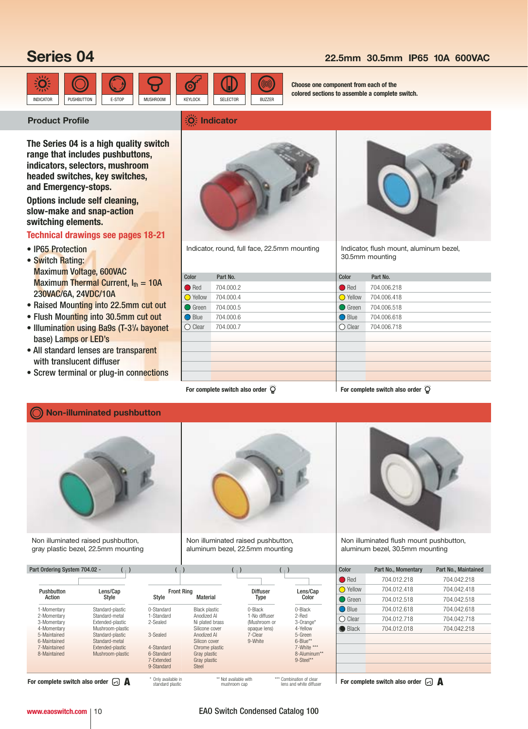# **Series 04**

### **22.5mm 30.5mm IP65 10A 600VAC**



**Choose one component from each of the colored sections to assemble a complete switch.**

### **Product Profile Indicator Indicator**

**The Series 04 is a high quality switch range that includes pushbuttons, indicators, selectors, mushroom headed switches, key switches, and Emergency-stops.**

**Options include self cleaning, slow-make and snap-action switching elements.**

### **Technical drawings see pages 18-21**

- IP65 Protection
- Switch Rating: Maximum Voltage, 600VAC Maximum Thermal Current,  $I_{th} = 10A$ 230VAC/6A, 24VDC/10A
- Raised Mounting into 22.5mm cut out
- Flush Mounting into 30.5mm cut out
- Illumination using Ba9s (T-31/4 bayonet base) Lamps or LED's
- All standard lenses are transparent with translucent diffuser
- Screw terminal or plug-in connections



Indicator, round, full face, 22.5mm mounting



Indicator, flush mount, aluminum bezel, 30.5mm mounting

| Color            | Part No.                                                | Color            | Part No.                                  |
|------------------|---------------------------------------------------------|------------------|-------------------------------------------|
|                  |                                                         |                  |                                           |
| Red              | 704.000.2                                               | $\bigcirc$ Red   | 704.006.218                               |
| <b>O</b> Yellow  | 704.000.4                                               | <b>O</b> Yellow  | 704.006.418                               |
| ◯ Green          | 704.000.5                                               | $\bigcirc$ Green | 704.006.518                               |
| ◯ Blue           | 704.000.6                                               | ◯ Blue           | 704.006.618                               |
| $\bigcirc$ Clear | 704.000.7                                               | $\bigcirc$ Clear | 704.006.718                               |
|                  |                                                         |                  |                                           |
|                  |                                                         |                  |                                           |
|                  |                                                         |                  |                                           |
|                  |                                                         |                  |                                           |
|                  |                                                         |                  |                                           |
|                  | For complete switch also order $\overleftrightarrow{Q}$ |                  | For complete switch also order $\breve Q$ |

**Non-illuminated pushbutton**



Non illuminated raised pushbutton, gray plastic bezel, 22.5mm mounting



Non illuminated raised pushbutton, aluminum bezel, 22.5mm mounting



Non illuminated flush mount pushbutton, aluminum bezel, 30.5mm mounting

| Color             | Part No., Momentary | Part No., Maintained |
|-------------------|---------------------|----------------------|
| $\bigcirc$ Red    | 704.012.218         | 704.042.218          |
| $\bigcirc$ Yellow | 704.012.418         | 704.042.418          |
| $\bigcirc$ Green  | 704 012 518         | 704 042 518          |
| $\bigcirc$ Blue   | 704.012.618         | 704.042.618          |
| Clear             | 704 012 718         | 704.042.718          |
| $\bigcirc$ Black  | 704.012.018         | 704.042.218          |
|                   |                     |                      |
|                   |                     |                      |
|                   |                     |                      |
|                   |                     |                      |

|                                                               | 7-Extended<br>9-Standard                | Gray plastic<br><b>Steel</b>          | 9-Steel**                                           |                                                   |
|---------------------------------------------------------------|-----------------------------------------|---------------------------------------|-----------------------------------------------------|---------------------------------------------------|
| For complete switch also order $\lceil \cdot \rceil$ <b>A</b> | * Only available in<br>standard plastic | ** Not available with<br>mushroom cap | *** Combination of clear<br>lens and white diffuser | For complete switch also order $\boxdot$ <b>A</b> |

6-Maintained Standard-metal Silicon cover<br>
6-Maintained Standard-metal Silicon cover<br>
7-Maintained Fxtended-plastic 4-Standard Chrome plastic

Part Ordering System 704.02 -  $\begin{pmatrix} 1 \end{pmatrix}$  ( ) ( ) ( ) ( ) ( )

Pushbutton Lens/Cap Front Ring Diffuser Lens/Cap Action Style Style Material Type Color 1-Momentary Standard-plastic 0-Standard Black plastic 0-Black 0-Black 2-Momentary Standard-metal 1-Standard Anodized Al 1-No diffuser 2-Red 3-Momentary Extended-plastic 2-Sealed Ni plated brass (Mushroom or 3-Orange\* 4-Momentary Mushroom-plastic Silicone cover opaque lens) 4-Yellow<br>19-Maintained Standard-plastic 3-Sealed Anodized Al 7-Clear 5-Green 5-Maintained Standard-plastic 3-Sealed Anodized Al 7-Clear 5-Green<br>19-Maintained Standard-metal Silicon cover 9-White 6-Blue\*\*<br>19-Maintained Extended-plastic 4-Standard Chrome plastic 7-White 7-White

7-Maintained Extended-plastic 4-Standard Chrome plastic 7-White \*\*\* 8-Maintained Mushroom-plastic 6-Standard Gray plastic 6-Standard 6-Aluminum\*\*<br>8-Maintained Mushroom-plastic 6-Standard Gray plastic 9-Steel<sup>\*\*</sup><br>7-Extended Gray plastic 9-Steel<sup>\*\*</sup>

> \*\*\* Combination of clear lens and white diffuser

### **www.eaoswitch.com** | 10 **EAO Switch Condensed Catalog 100**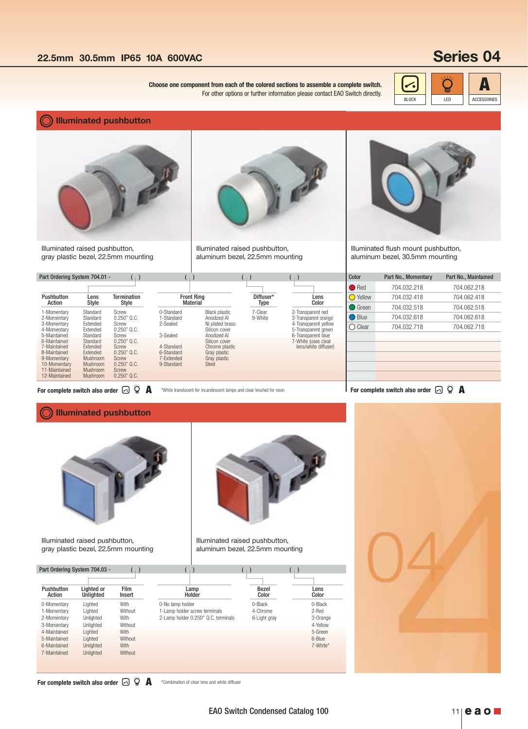# **Series 04**

BLOCK LED ACCESSORIES

**Choose one component from each of the colored sections to assemble a complete switch.**  $\left|\left| \bullet \right| \right|$ For other options or further information please contact EAO Switch directly.

**Illuminated pushbutton**



Illuminated raised pushbutton, gray plastic bezel, 22.5mm mounting

### Part Ordering System 704.01 - (  $\begin{pmatrix} 1 \end{pmatrix}$  ( ) ( ) ( ) ( )

| Pushbutton                                                                                                                                                               | Lens                                                                                                                                                         | <b>Termination</b>                                                                                                                      | <b>Front Ring</b>                                                                                        |                                                                                                                                                                           | Diffuser*          | Lens                                                                                                                                                          |
|--------------------------------------------------------------------------------------------------------------------------------------------------------------------------|--------------------------------------------------------------------------------------------------------------------------------------------------------------|-----------------------------------------------------------------------------------------------------------------------------------------|----------------------------------------------------------------------------------------------------------|---------------------------------------------------------------------------------------------------------------------------------------------------------------------------|--------------------|---------------------------------------------------------------------------------------------------------------------------------------------------------------|
| Action                                                                                                                                                                   | Style                                                                                                                                                        | Style                                                                                                                                   | <b>Material</b>                                                                                          |                                                                                                                                                                           | Type               | Color                                                                                                                                                         |
| 1-Momentary<br>2-Momentary<br>3-Momentary<br>4-Momentary<br>5-Maintained<br>6-Maintained<br>7-Maintained<br>8-Maintained<br>9-Momentary<br>10-Momentary<br>11-Maintained | Standard<br>Standard<br><b>Fxtended</b><br><b>Fxtended</b><br>Standard<br>Standard<br><b>Extended</b><br><b>Extended</b><br>Mushroom<br>Mushroom<br>Mushroom | Screw<br>$0.250"$ Q.C.<br>Screw<br>$0.250"$ Q.C.<br>Screw<br>$0.250"$ Q.C.<br>Screw<br>$0.250"$ Q.C.<br>Screw<br>$0.250"$ Q.C.<br>Screw | 0-Standard<br>1-Standard<br>2-Sealed<br>3-Sealed<br>4-Standard<br>6-Standard<br>7-Extended<br>9-Standard | <b>Black plastic</b><br>Anodized Al<br>Ni plated brass<br>Silicon cover<br>Anodized Al<br>Silicon cover<br>Chrome plastic<br>Gray plastic<br>Gray plastic<br><b>Steel</b> | 7-Clear<br>9-White | 2-Transparent red<br>3-Transparent orange<br>4-Transparent vellow<br>5-Transparent green<br>6-Transparent blue<br>7-White (uses clear<br>lens/white diffuser) |



Illuminated raised pushbutton, aluminum bezel, 22.5mm mounting

\*White translucent for incandescent lamps and clear knurled for neon



Illuminated flush mount pushbutton, aluminum bezel, 30.5mm mounting

| Color             | Part No., Momentary | Part No., Maintained |
|-------------------|---------------------|----------------------|
| $\bullet$ Red     | 704.032.218         | 704.062.218          |
| $\bigcirc$ Yellow | 704.032.418         | 704.062.418          |
| $\bigcap$ Green   | 704.032.518         | 704.062.518          |
| ◯ Blue            | 704.032.618         | 704.062.618          |
| Clear             | 704.032.718         | 704.062.718          |
|                   |                     |                      |
|                   |                     |                      |
|                   |                     |                      |
|                   |                     |                      |
|                   |                     |                      |
|                   |                     |                      |

**For complete switch also order**  $\boxdot$   $\stackrel{\sim}{\otimes}$   $\stackrel{\sim}{\bullet}$  \*White translucent for incandescent lamps and clear knurled for neon<br> **For complete switch also order**  $\boxdot$   $\stackrel{\sim}{\otimes}$  **A** 

### **Illuminated pushbutton**



Illuminated raised pushbutton, gray plastic bezel, 22.5mm mounting



Illuminated raised pushbutton, aluminum bezel, 22.5mm mounting

| Pushbutton<br>Action | Lighted or<br>Unlighted | <b>Film</b><br>Insert | Lamp<br>Holder                      | <b>Bezel</b><br>Color | Lens<br>Color |
|----------------------|-------------------------|-----------------------|-------------------------------------|-----------------------|---------------|
| 0-Momentary          | Lighted                 | With                  | 0-No lamp holder                    | 0-Black               | 0-Black       |
| 1-Momentary          | Lighted                 | Without               | 1-Lamp holder screw terminals       | 4-Chrome              | 2-Red         |
| 2-Momentary          | Unlighted               | With                  | 2-Lamp holder 0.250" Q.C. terminals | 6-Light gray          | 3-Orange      |
| 3-Momentary          | Unlighted               | Without               |                                     |                       | 4-Yellow      |
| 4-Maintained         | Lighted                 | With                  |                                     |                       | 5-Green       |
| 5-Maintained         | Lighted                 | Without               |                                     |                       | 6-Blue        |
| 6-Maintained         | Unlighted               | With                  |                                     |                       | 7-White*      |
| 7-Maintained         | Unlighted               | Without               |                                     |                       |               |

### \*Combination of clear lens and white diffuser **For complete switch also order**  $\odot$   $\overset{\leftrightarrow}{\mathbf{Q}}$  **A**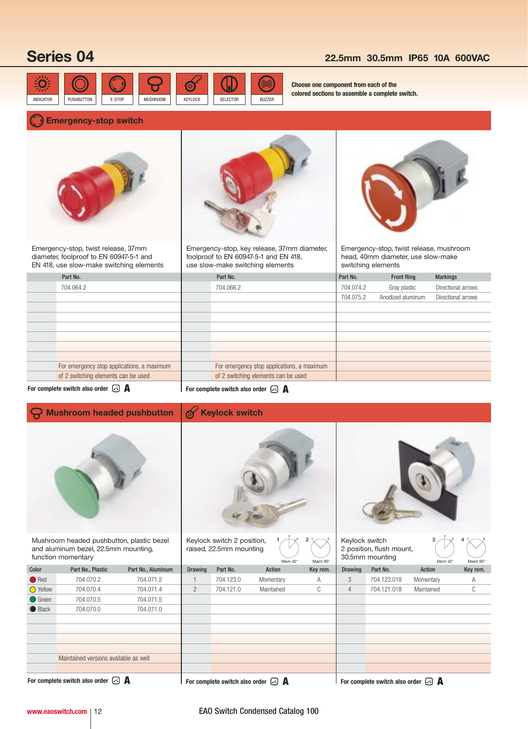# **Series 04 22.5mm 30.5mm IP65 10A 600VAC**



**Choose one component from each of the colored sections to assemble a complete switch.**

### **Emergency-stop switch**



Emergency-stop, twist release, 37mm diameter, foolproof to EN 60947-5-1 and EN 418, use slow-make switching elements



Emergency-stop, key release, 37mm diameter, foolproof to EN 60947-5-1 and EN 418, use slow-make switching elements



Emergency-stop, twist release, mushroom head, 40mm diameter, use slow-make switching elements

| Part No.                                   | Part No.                                   | Part No.  | <b>Front Ring</b> | <b>Markings</b>    |
|--------------------------------------------|--------------------------------------------|-----------|-------------------|--------------------|
| 704.064.2                                  | 704.066.2                                  | 704.074.2 | Gray plastic      | Directional arrows |
|                                            |                                            | 704.075.2 | Anodized aluminum | Directional arrows |
|                                            |                                            |           |                   |                    |
|                                            |                                            |           |                   |                    |
|                                            |                                            |           |                   |                    |
|                                            |                                            |           |                   |                    |
|                                            |                                            |           |                   |                    |
|                                            |                                            |           |                   |                    |
| For emergency stop applications, a maximum | For emergency stop applications, a maximum |           |                   |                    |
| of 2 switching elements can be used        | of 2 switching elements can be used        |           |                   |                    |
|                                            |                                            |           |                   |                    |

**For complete switch also order A**

**A** For complete switch also order **A** 

### **Mushroom headed pushbutton Keylock switch** රා  $1/\hat{+}\times^8$   $2\leftarrow\!\!\!\!\times\right\{\times}$  Keylock switch  $3/\hat{+}\times^8$  $\mathring{\Uparrow}$ Mushroom headed pushbutton, plastic bezel Keylock switch 2 position, C Angel  $3 \rightarrow \rightarrow$ <sup>8</sup> 4 C B and aluminum bezel, 22.5mm mounting, raised, 22.5mm mounting 2 position, flush mount, function momentary 30.5mm mounting Mom 42° Maint 90° Mom 42° Maint 90° Color Part No., Plastic Part No., Aluminum Drawing Part No. Action Key rem. **Drawing Part No.** Action Key rem. ● Red 704.070.2 704.071.2 1 704.123.0 Momentary A 3 704.123.018 Momentary A O Yellow 704.070.4 704.071.4 2 704.121.0 Maintained C 4 704.121.018 Maintained C **●** Green 704.070.5 704.071.5 ● Black 704.070.0 704.071.0 Maintained versions available as well

**For complete switch also order A**

**For complete switch also order A For complete switch also order A**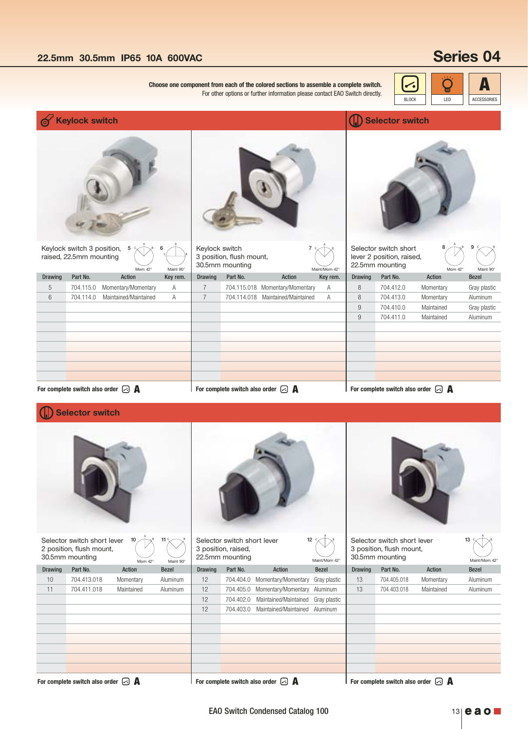# **22.5mm 30.5mm IP65 10A 600VAC Series 04**

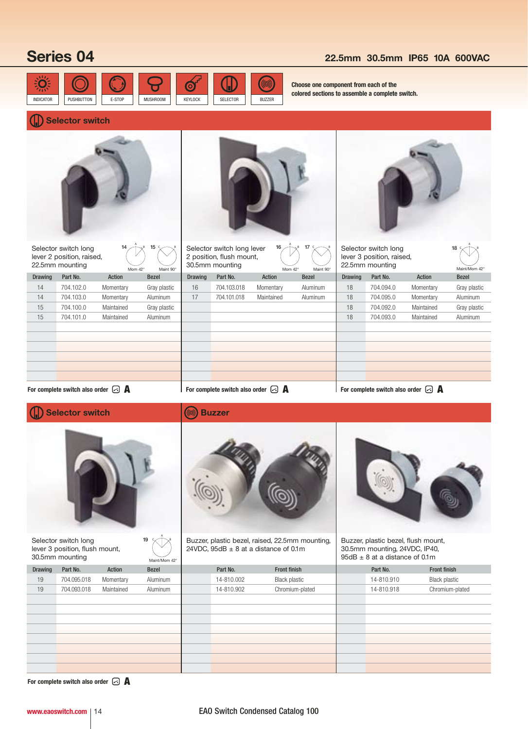# **Series 04 22.5mm 30.5mm IP65 10A 600VAC**



**Choose one component from each of the colored sections to assemble a complete switch.**

# **Selector switch**

|                | Selector switch long<br>lever 2 position, raised,<br>22.5mm mounting      | 14                | 15                        |                | Selector switch long lever<br>2 position, flush mount,<br>30.5mm mounting | 16                                                                                           | 17                        |                | Selector switch long<br>lever 3 position, raised,<br>22.5mm mounting |                                                      | 18                            |
|----------------|---------------------------------------------------------------------------|-------------------|---------------------------|----------------|---------------------------------------------------------------------------|----------------------------------------------------------------------------------------------|---------------------------|----------------|----------------------------------------------------------------------|------------------------------------------------------|-------------------------------|
| <b>Drawing</b> | Part No.                                                                  | Mom 42°<br>Action | Maint 90°<br><b>Bezel</b> | <b>Drawing</b> | Part No.                                                                  | Mom 42°<br>Action                                                                            | Maint 90°<br><b>Bezel</b> | <b>Drawing</b> | Part No.                                                             | Action                                               | Maint/Mom 42°<br><b>Bezel</b> |
| 14             | 704.102.0                                                                 | Momentary         | Gray plastic              | 16             | 704.103.018                                                               | Momentary                                                                                    | Aluminum                  | 18             | 704.094.0                                                            | Momentary                                            | Gray plastic                  |
| 14             | 704.103.0                                                                 | Momentary         | Aluminum                  | 17             | 704.101.018                                                               | Maintained                                                                                   | Aluminum                  | 18             | 704.095.0                                                            | Momentary                                            | Aluminum                      |
| 15             | 704.100.0                                                                 | Maintained        | Gray plastic              |                |                                                                           |                                                                                              |                           | 18             | 704.092.0                                                            | Maintained                                           | Gray plastic                  |
| 15             | 704.101.0                                                                 | Maintained        | Aluminum                  |                |                                                                           |                                                                                              |                           | 18             | 704.093.0                                                            | Maintained                                           | Aluminum                      |
|                | For complete switch also order $\lceil \cdot \rceil$                      |                   |                           |                | For complete switch also order $\lceil \cdot \rceil$                      |                                                                                              |                           |                |                                                                      | For complete switch also order $\lceil \cdot \rceil$ |                               |
|                | <b>Selector switch</b>                                                    |                   |                           |                | <b>Buzzer</b>                                                             |                                                                                              |                           |                |                                                                      |                                                      |                               |
|                |                                                                           |                   |                           |                |                                                                           |                                                                                              |                           |                |                                                                      |                                                      |                               |
|                |                                                                           |                   |                           |                |                                                                           |                                                                                              |                           |                |                                                                      |                                                      |                               |
|                | Selector switch long<br>lever 3 position, flush mount,<br>30.5mm mounting |                   | 19<br>Maint/Mom 42°       |                |                                                                           | Buzzer, plastic bezel, raised, 22.5mm mounting,<br>24VDC, $95dB \pm 8$ at a distance of 0.1m |                           |                | 30.5mm mounting, 24VDC, IP40,<br>$95dB \pm 8$ at a distance of 0.1m  | Buzzer, plastic bezel, flush mount,                  |                               |
| <b>Drawing</b> | Part No.                                                                  | Action            | <b>Bezel</b>              |                | Part No.                                                                  | Front finish                                                                                 |                           |                | Part No.                                                             | Front finish                                         |                               |
| 19             | 704.095.018                                                               | Momentary         | Aluminum                  |                | 14-810.002                                                                | <b>Black plastic</b>                                                                         |                           |                | 14-810.910                                                           | <b>Black plastic</b>                                 |                               |
| 19             | 704.093.018                                                               | Maintained        | Aluminum                  |                | 14-810.902                                                                |                                                                                              | Chromium-plated           |                | 14-810.918                                                           |                                                      | Chromium-plated               |
|                |                                                                           |                   |                           |                |                                                                           |                                                                                              |                           |                |                                                                      |                                                      |                               |
|                |                                                                           |                   |                           |                |                                                                           |                                                                                              |                           |                |                                                                      |                                                      |                               |
|                |                                                                           |                   |                           |                |                                                                           |                                                                                              |                           |                |                                                                      |                                                      |                               |
|                |                                                                           |                   |                           |                |                                                                           |                                                                                              |                           |                |                                                                      |                                                      |                               |

**For complete switch also order A**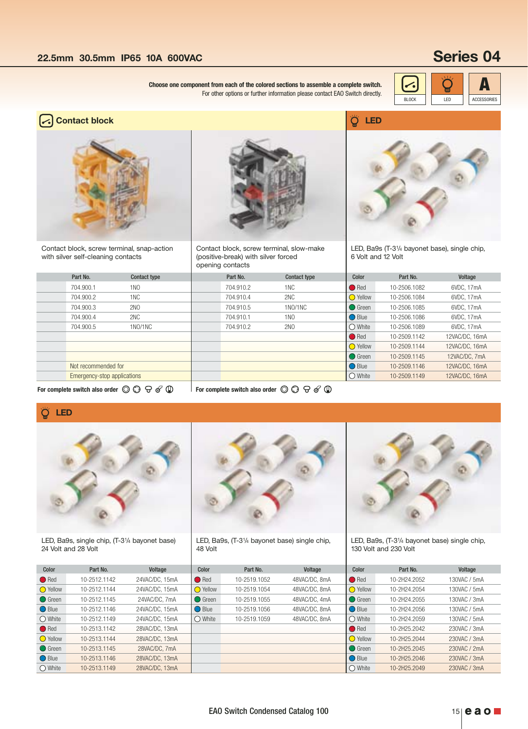**Choose one component from each of the colored sections to assemble a complete switch.**  $\left|\left|\bullet\right|\right|$ For other options or further information please contact EAO Switch directly.





Contact block, screw terminal, snap-action with silver self-cleaning contacts



Contact block, screw terminal, slow-make (positive-break) with silver forced opening contacts





LED, Ba9s (T-31/4 bayonet base), single chip, 6 Volt and 12 Volt

| Part No.                    | <b>Contact type</b> | Part No.  | <b>Contact type</b> | Color              | Part No.     | Voltage        |
|-----------------------------|---------------------|-----------|---------------------|--------------------|--------------|----------------|
| 704.900.1                   | 1 <sub>NO</sub>     | 704.910.2 | 1NC                 | $\blacksquare$ Red | 10-2506.1082 | 6VDC, 17mA     |
| 704.900.2                   | 1 <sub>NC</sub>     | 704.910.4 | 2NC                 | <b>O</b> Yellow    | 10-2506.1084 | 6VDC, 17mA     |
| 704.900.3                   | <b>2NO</b>          | 704.910.5 | 1NO/1NC             | $\bigcirc$ Green   | 10-2506.1085 | 6VDC, 17mA     |
| 704.900.4                   | 2NC                 | 704.910.1 | 1 <sub>N</sub> O    | $\bigcirc$ Blue    | 10-2506.1086 | 6VDC, 17mA     |
| 704.900.5                   | 1NO/1NC             | 704.910.2 | <b>2NO</b>          | $\bigcirc$ White   | 10-2506.1089 | 6VDC, 17mA     |
|                             |                     |           |                     | $\blacksquare$ Red | 10-2509.1142 | 12VAC/DC, 16mA |
|                             |                     |           |                     | ◯ Yellow           | 10-2509.1144 | 12VAC/DC, 16mA |
|                             |                     |           |                     | $\bigcirc$ Green   | 10-2509.1145 | 12VAC/DC, 7mA  |
| Not recommended for         |                     |           |                     | $\bigcirc$ Blue    | 10-2509.1146 | 12VAC/DC, 16mA |
| Emergency-stop applications |                     |           |                     | $\bigcirc$ White   | 10-2509.1149 | 12VAC/DC, 16mA |
|                             |                     |           |                     |                    |              |                |

For complete switch also order  $\circledcirc \odot \ominus \circ' \circledcirc \blacksquare$  For complete switch also order  $\circledcirc \odot \ominus \circ' \circledcirc \blacksquare$ 

### **LED**



LED, Ba9s, single chip, (T-31/4 bayonet base) 24 Volt and 28 Volt





LED, Ba9s, (T-31/4 bayonet base) single chip, 48 Volt

10-2519.1052 48VAC/DC, 8mA 10-2519.1054 48VAC/DC, 8mA 10-2519.1055 48VAC/DC, 4mA 10-2519.1056 48VAC/DC, 8mA 10-2519.1059 48VAC/DC, 8mA



LED, Ba9s, (T-31/4 bayonet base) single chip, 130 Volt and 230 Volt

| Color            | Part No.     | Voltage      |
|------------------|--------------|--------------|
| ● Red            | 10-2H24.2052 | 130VAC / 5mA |
| ◯ Yellow         | 10-2H24.2054 | 130VAC / 5mA |
| ◯ Green          | 10-2H24.2055 | 130VAC / 3mA |
| ◯ Blue           | 10-2H24.2056 | 130VAC / 5mA |
| $\bigcirc$ White | 10-2H24.2059 | 130VAC / 5mA |
| <b>Red</b>       | 10-2H25.2042 | 230VAC / 3mA |
| ◯ Yellow         | 10-2H25.2044 | 230VAC / 3mA |
| $\bigcirc$ Green | 10-2H25.2045 | 230VAC / 2mA |
| ◯ Blue           | 10-2H25.2046 | 230VAC / 3mA |
| White            | 10-2H25.2049 | 230VAC / 3mA |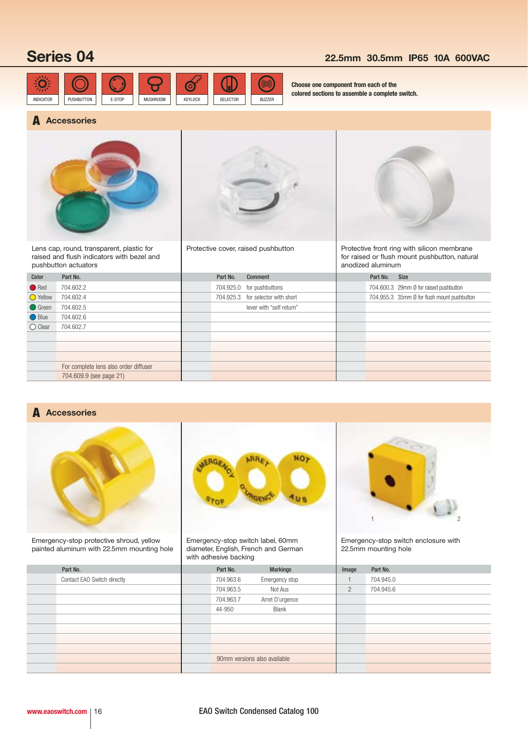# **Series 04 22.5mm 30.5mm IP65 10A 600VAC**



**Choose one component from each of the colored sections to assemble a complete switch.**

## **Accessories A**



Lens cap, round, transparent, plastic for raised and flush indicators with bezel and pushbutton actuators



Protective cover, raised pushbutton



Protective front ring with silicon membrane for raised or flush mount pushbutton, natural anodized aluminum

| Color            | Part No.                              | Part No. | <b>Comment</b>                    | Part No. | Size                                        |
|------------------|---------------------------------------|----------|-----------------------------------|----------|---------------------------------------------|
| Red              | 704.602.2                             |          | 704.925.0 for pushbuttons         |          | 704.600.3 29mm Ø for raised pushbutton      |
| ◯ Yellow         | 704.602.4                             |          | 704.925.3 for selector with short |          | 704.955.3 35mm Ø for flush mount pushbutton |
| ◯ Green          | 704.602.5                             |          | lever with "self return"          |          |                                             |
| ◯ Blue           | 704.602.6                             |          |                                   |          |                                             |
| $\bigcirc$ Clear | 704.602.7                             |          |                                   |          |                                             |
|                  |                                       |          |                                   |          |                                             |
|                  |                                       |          |                                   |          |                                             |
|                  |                                       |          |                                   |          |                                             |
|                  | For complete lens also order diffuser |          |                                   |          |                                             |
|                  | 704.609.9 (see page 21)               |          |                                   |          |                                             |
|                  |                                       |          |                                   |          |                                             |

# **Accessories A**



Emergency-stop protective shroud, yellow painted aluminum with 22.5mm mounting hole



Emergency-stop switch label, 60mm diameter, English, French and German with adhesive backing



Emergency-stop switch enclosure with 22.5mm mounting hole

|                             |           | $\tilde{}$                   |                |           |  |
|-----------------------------|-----------|------------------------------|----------------|-----------|--|
| Part No.                    | Part No.  | <b>Markings</b>              | Image          | Part No.  |  |
| Contact EAO Switch directly | 704.963.6 | Emergency stop               |                | 704.945.0 |  |
|                             | 704.963.5 | Not Aus                      | $\overline{2}$ | 704.945.6 |  |
|                             | 704.963.7 | Arret D'urgence              |                |           |  |
|                             | 44-950    | <b>Blank</b>                 |                |           |  |
|                             |           |                              |                |           |  |
|                             |           |                              |                |           |  |
|                             |           |                              |                |           |  |
|                             |           |                              |                |           |  |
|                             |           | 90mm versions also available |                |           |  |
|                             |           |                              |                |           |  |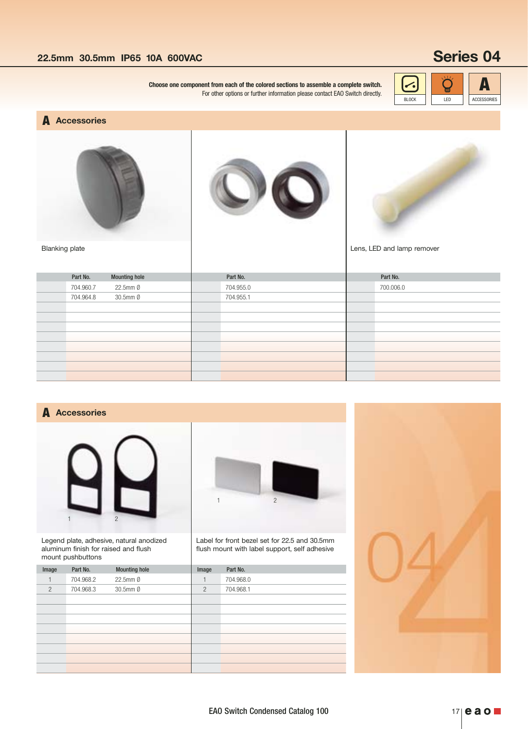# **22.5mm 30.5mm IP65 10A 600VAC <b>Series 04**

**Choose one component from each of the colored sections to assemble a complete switch.**  $\left[\bigodot\right]$ For other options or further information please contact EAO Switch directly.



## **Accessories A**

Blanking plate







Lens, LED and lamp remover

| <b>Mounting hole</b><br>Part No. | Part No.  | Part No.  |
|----------------------------------|-----------|-----------|
| 22.5mm Ø<br>704.960.7            | 704.955.0 | 700.006.0 |
| 30.5mm Ø<br>704.964.8            | 704.955.1 |           |
|                                  |           |           |
|                                  |           |           |
|                                  |           |           |
|                                  |           |           |
|                                  |           |           |
|                                  |           |           |
|                                  |           |           |
|                                  |           |           |

## **Accessories A**



Legend plate, adhesive, natural anodized aluminum finish for raised and flush mount pushbuttons





Label for front bezel set for 22.5 and 30.5mm flush mount with label support, self adhesive

1 2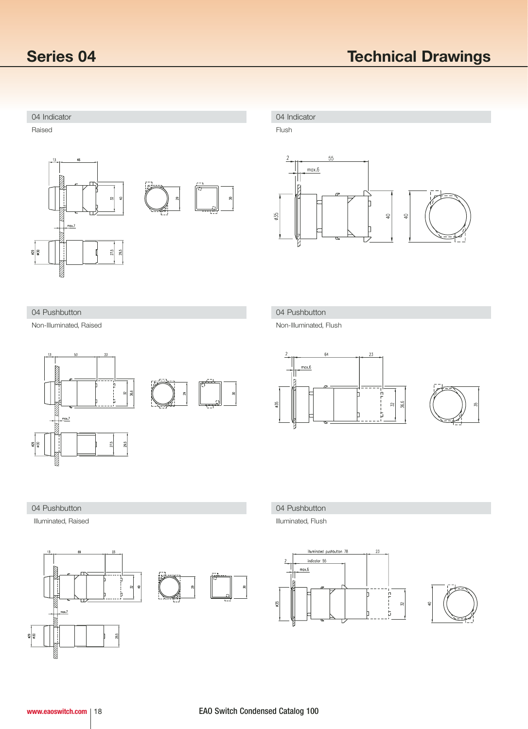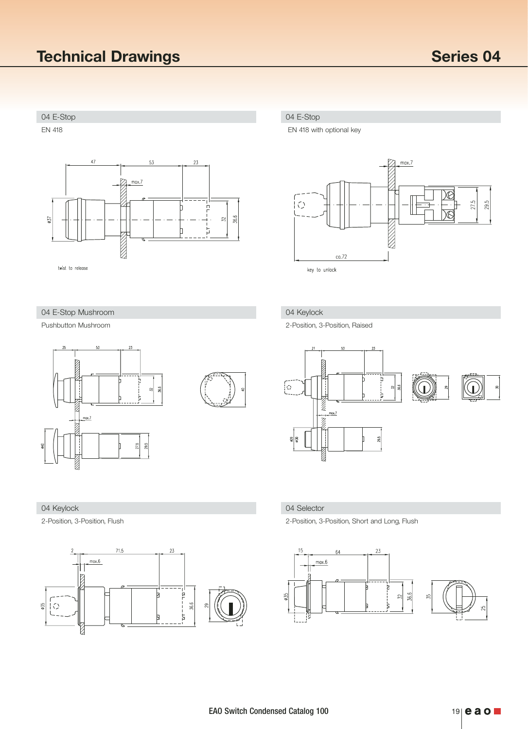# 04 E-Stop 04 E-Stop EN 418  $47\,$ 53  $23$  $\overline{\mathscr{D}}$  $max.7$ G þ 36.6  $\varnothing$  $\overline{32}$ Þ **NNSK** twist to release 04 E-Stop Mushroom 04 Keylock Pushbutton Mushroom

# 36.6  $\overline{32}$  $\frac{max.7}{max.}$ 29.5  $27.5\,$



EN 418 with optional key



2-Position, 3-Position, Raised



## 04 Keylock 04 Selector

2-Position, 3-Position, Flush 2-Position, 3-Position, Short and Long, Flush

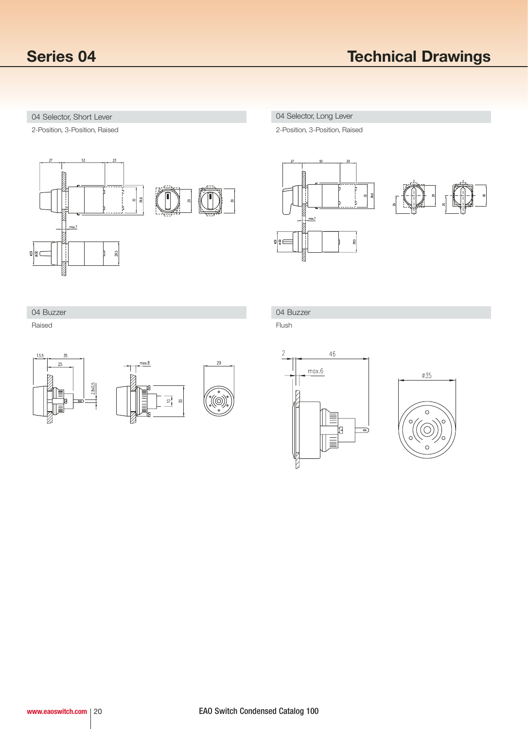## 04 Selector, Short Lever 2004 Selector, Long Lever

2-Position, 3-Position, Raised



2-Position, 3-Position, Raised



04 Buzzer

Raised



# 04 Buzzer

Flush